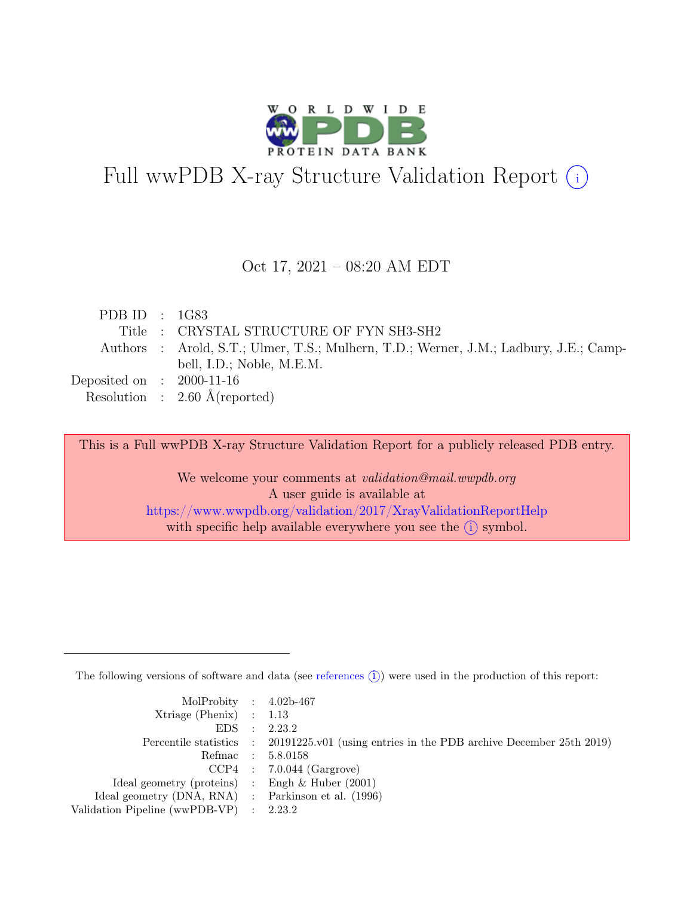

# Full wwPDB X-ray Structure Validation Report  $(i)$

#### Oct 17, 2021 – 08:20 AM EDT

| PDB ID : $1G83$             |                                                                                       |
|-----------------------------|---------------------------------------------------------------------------------------|
|                             | Title : CRYSTAL STRUCTURE OF FYN SH3-SH2                                              |
|                             | Authors : Arold, S.T.; Ulmer, T.S.; Mulhern, T.D.; Werner, J.M.; Ladbury, J.E.; Camp- |
|                             | bell, I.D.; Noble, M.E.M.                                                             |
| Deposited on : $2000-11-16$ |                                                                                       |
|                             | Resolution : $2.60 \text{ Å}$ (reported)                                              |

This is a Full wwPDB X-ray Structure Validation Report for a publicly released PDB entry.

We welcome your comments at *validation@mail.wwpdb.org* A user guide is available at <https://www.wwpdb.org/validation/2017/XrayValidationReportHelp> with specific help available everywhere you see the  $(i)$  symbol.

The following versions of software and data (see [references](https://www.wwpdb.org/validation/2017/XrayValidationReportHelp#references)  $(i)$ ) were used in the production of this report:

| MolProbity : $4.02b-467$                            |                                                                                            |
|-----------------------------------------------------|--------------------------------------------------------------------------------------------|
| $Xtriangle (Phenix)$ : 1.13                         |                                                                                            |
|                                                     | EDS : 2.23.2                                                                               |
|                                                     | Percentile statistics : 20191225.v01 (using entries in the PDB archive December 25th 2019) |
|                                                     | Refmac : 5.8.0158                                                                          |
|                                                     | $CCP4$ : 7.0.044 (Gargrove)                                                                |
| Ideal geometry (proteins) : Engh $\&$ Huber (2001)  |                                                                                            |
| Ideal geometry (DNA, RNA) : Parkinson et al. (1996) |                                                                                            |
| Validation Pipeline (wwPDB-VP) : 2.23.2             |                                                                                            |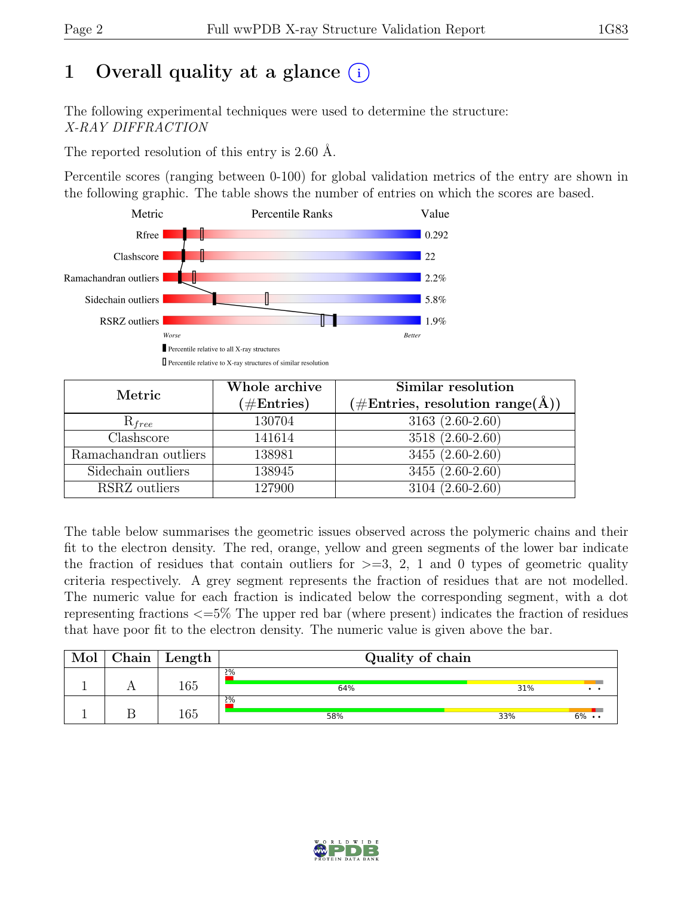# 1 Overall quality at a glance  $(i)$

The following experimental techniques were used to determine the structure: X-RAY DIFFRACTION

The reported resolution of this entry is 2.60 Å.

Percentile scores (ranging between 0-100) for global validation metrics of the entry are shown in the following graphic. The table shows the number of entries on which the scores are based.



| Metric                | Whole archive<br>$(\#\text{Entries})$ | Similar resolution<br>$(\# \text{Entries}, \text{ resolution range}(\text{\AA}))$ |
|-----------------------|---------------------------------------|-----------------------------------------------------------------------------------|
| $R_{free}$            | 130704                                | $3163(2.60-2.60)$                                                                 |
| Clashscore            | 141614                                | 3518 (2.60-2.60)                                                                  |
| Ramachandran outliers | 138981                                | $3455(2.60-2.60)$                                                                 |
| Sidechain outliers    | 138945                                | 3455 (2.60-2.60)                                                                  |
| RSRZ outliers         | 127900                                | 3104 (2.60-2.60)                                                                  |

The table below summarises the geometric issues observed across the polymeric chains and their fit to the electron density. The red, orange, yellow and green segments of the lower bar indicate the fraction of residues that contain outliers for  $\geq$ =3, 2, 1 and 0 types of geometric quality criteria respectively. A grey segment represents the fraction of residues that are not modelled. The numeric value for each fraction is indicated below the corresponding segment, with a dot representing fractions <=5% The upper red bar (where present) indicates the fraction of residues that have poor fit to the electron density. The numeric value is given above the bar.

| Mol | $\operatorname{\mathsf{Chain}}$ | Length | Quality of chain |     |                   |
|-----|---------------------------------|--------|------------------|-----|-------------------|
|     |                                 | 165    | 2%<br>64%        | 31% | $\cdot$ $\cdot$   |
|     |                                 | 165    | 2%<br>58%        | 33% | $6\% \cdot \cdot$ |

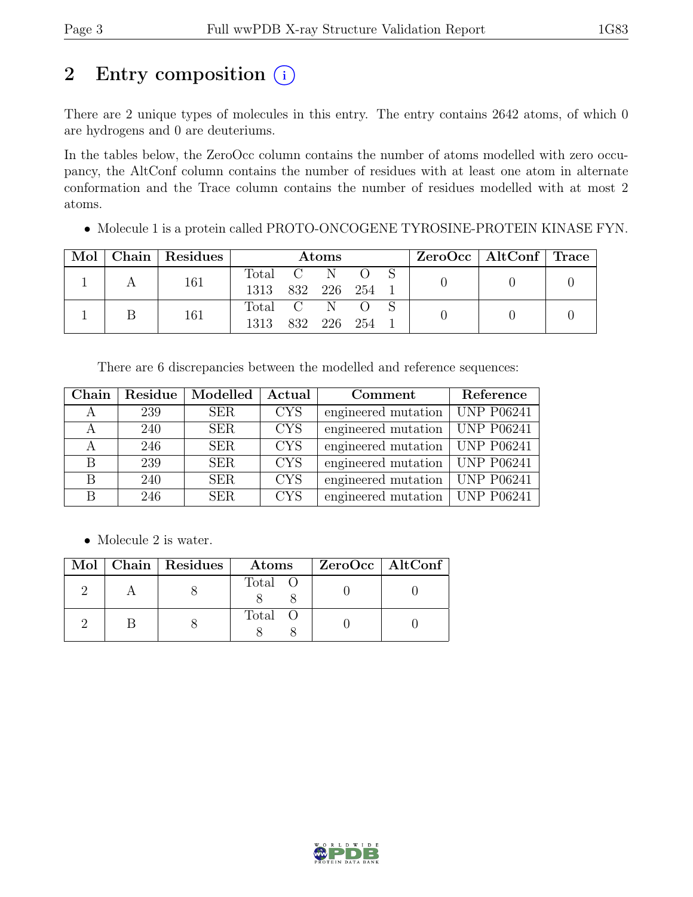## 2 Entry composition  $(i)$

There are 2 unique types of molecules in this entry. The entry contains 2642 atoms, of which 0 are hydrogens and 0 are deuteriums.

In the tables below, the ZeroOcc column contains the number of atoms modelled with zero occupancy, the AltConf column contains the number of residues with at least one atom in alternate conformation and the Trace column contains the number of residues modelled with at most 2 atoms.

• Molecule 1 is a protein called PROTO-ONCOGENE TYROSINE-PROTEIN KINASE FYN.

| Mol |  | $\vert$ Chain $\vert$ Residues | Atoms            |  |  |  |  | $ZeroOcc \mid AltConf \mid Trace$ |  |
|-----|--|--------------------------------|------------------|--|--|--|--|-----------------------------------|--|
|     |  | 161                            | Total C N O      |  |  |  |  |                                   |  |
|     |  |                                | 1313 832 226 254 |  |  |  |  |                                   |  |
|     |  | 161                            | Total C N O S    |  |  |  |  |                                   |  |
|     |  | 1313 832 226 254               |                  |  |  |  |  |                                   |  |

There are 6 discrepancies between the modelled and reference sequences:

| Chain |     | Residue   Modelled | Actual     | Comment             | Reference         |
|-------|-----|--------------------|------------|---------------------|-------------------|
|       | 239 | <b>SER</b>         | <b>CYS</b> | engineered mutation | <b>UNP P06241</b> |
|       | 240 | <b>SER</b>         | <b>CYS</b> | engineered mutation | <b>UNP P06241</b> |
|       | 246 | <b>SER</b>         | <b>CYS</b> | engineered mutation | <b>UNP P06241</b> |
| В     | 239 | <b>SER</b>         | <b>CYS</b> | engineered mutation | <b>UNP P06241</b> |
| В     | 240 | <b>SER</b>         | <b>CYS</b> | engineered mutation | <b>UNP P06241</b> |
| В     | 246 | <b>SER</b>         | <b>CYS</b> | engineered mutation | <b>UNP P06241</b> |

• Molecule 2 is water.

| $Mol$ $\parallel$ | Chain   Residues | Atoms   | ZeroOcc   AltConf |  |
|-------------------|------------------|---------|-------------------|--|
|                   |                  | Total O |                   |  |
|                   |                  | Total O |                   |  |

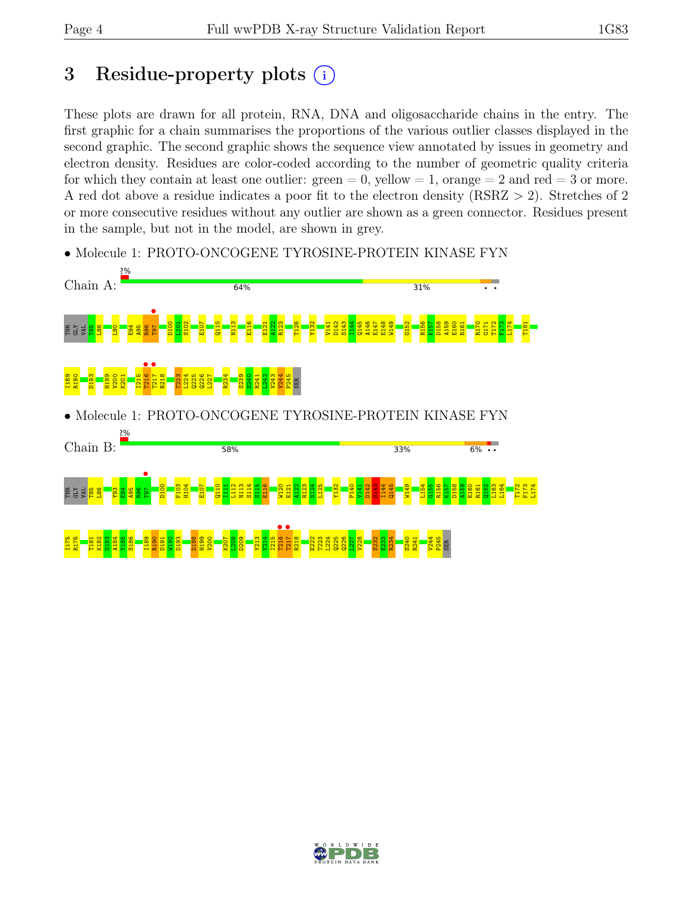## 3 Residue-property plots  $(i)$

These plots are drawn for all protein, RNA, DNA and oligosaccharide chains in the entry. The first graphic for a chain summarises the proportions of the various outlier classes displayed in the second graphic. The second graphic shows the sequence view annotated by issues in geometry and electron density. Residues are color-coded according to the number of geometric quality criteria for which they contain at least one outlier:  $green = 0$ , yellow  $= 1$ , orange  $= 2$  and red  $= 3$  or more. A red dot above a residue indicates a poor fit to the electron density (RSRZ > 2). Stretches of 2 or more consecutive residues without any outlier are shown as a green connector. Residues present in the sample, but not in the model, are shown in grey.



• Molecule 1: PROTO-ONCOGENE TYROSINE-PROTEIN KINASE FYN

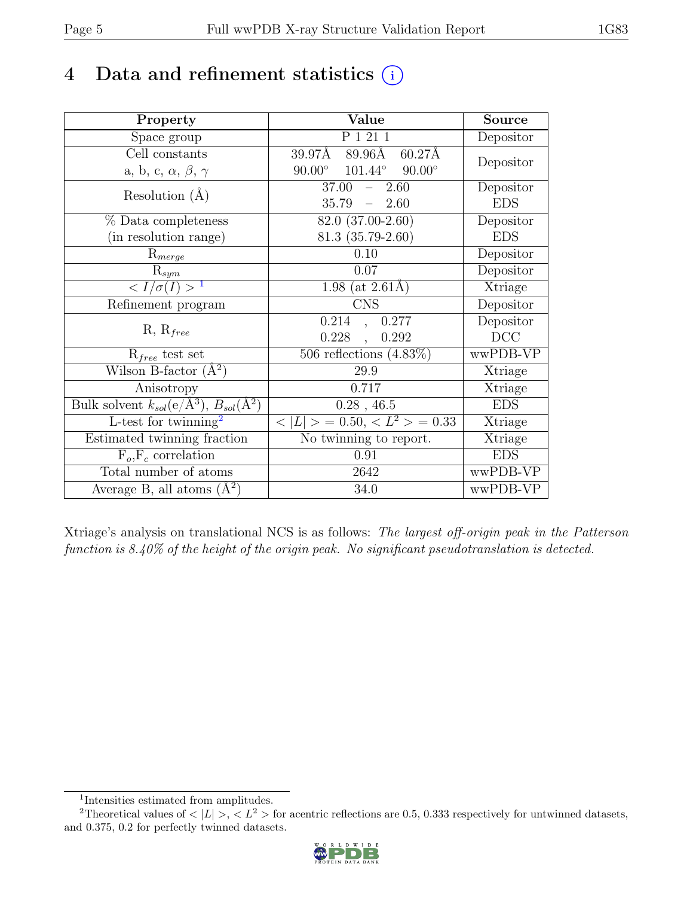## 4 Data and refinement statistics  $(i)$

| Property                                                         | Value                                                                | Source     |
|------------------------------------------------------------------|----------------------------------------------------------------------|------------|
| Space group                                                      | P 1 21 1                                                             | Depositor  |
| Cell constants                                                   | $89.96\text{\AA}$<br>$39.97\overline{\text{A}}$<br>$60.27\text{\AA}$ | Depositor  |
| a, b, c, $\alpha$ , $\beta$ , $\gamma$                           | $101.44^{\circ}$<br>$90.00^\circ$<br>$90.00^\circ$                   |            |
| Resolution $(A)$                                                 | 37.00<br>2.60<br>$\equiv$                                            | Depositor  |
|                                                                  | 35.79<br>2.60<br>$\equiv$                                            | <b>EDS</b> |
| % Data completeness                                              | 82.0 (37.00-2.60)                                                    | Depositor  |
| (in resolution range)                                            | $81.3(35.79-2.60)$                                                   | <b>EDS</b> |
| $R_{merge}$                                                      | 0.10                                                                 | Depositor  |
| $\mathrm{R}_{sym}$                                               | 0.07                                                                 | Depositor  |
| $\langle I/\sigma(I) \rangle$ <sup>1</sup>                       | 1.98 (at $2.61\text{\AA})$                                           | Xtriage    |
| Refinement program                                               | <b>CNS</b>                                                           | Depositor  |
|                                                                  | 0.214<br>0.277<br>$\ddot{\phantom{0}}$                               | Depositor  |
| $R, R_{free}$                                                    | 0.228<br>0.292<br>$\overline{\phantom{a}}$                           | DCC        |
| $R_{free}$ test set                                              | 506 reflections $(4.83\%)$                                           | wwPDB-VP   |
| Wilson B-factor $(A^2)$                                          | 29.9                                                                 | Xtriage    |
| Anisotropy                                                       | 0.717                                                                | Xtriage    |
| Bulk solvent $k_{sol}(\text{e}/\text{A}^3), B_{sol}(\text{A}^2)$ | $0.28$ , 46.5                                                        | <b>EDS</b> |
| L-test for twinning <sup>2</sup>                                 | $< L >$ = 0.50, $< L^2 >$ = 0.33                                     | Xtriage    |
| Estimated twinning fraction                                      | No twinning to report.                                               | Xtriage    |
| $F_o, F_c$ correlation                                           | 0.91                                                                 | <b>EDS</b> |
| Total number of atoms                                            | 2642                                                                 | wwPDB-VP   |
| Average B, all atoms $(A^2)$                                     | 34.0                                                                 | wwPDB-VP   |

Xtriage's analysis on translational NCS is as follows: The largest off-origin peak in the Patterson function is 8.40% of the height of the origin peak. No significant pseudotranslation is detected.

<sup>&</sup>lt;sup>2</sup>Theoretical values of  $\langle |L| \rangle$ ,  $\langle L^2 \rangle$  for acentric reflections are 0.5, 0.333 respectively for untwinned datasets, and 0.375, 0.2 for perfectly twinned datasets.



<span id="page-4-1"></span><span id="page-4-0"></span><sup>1</sup> Intensities estimated from amplitudes.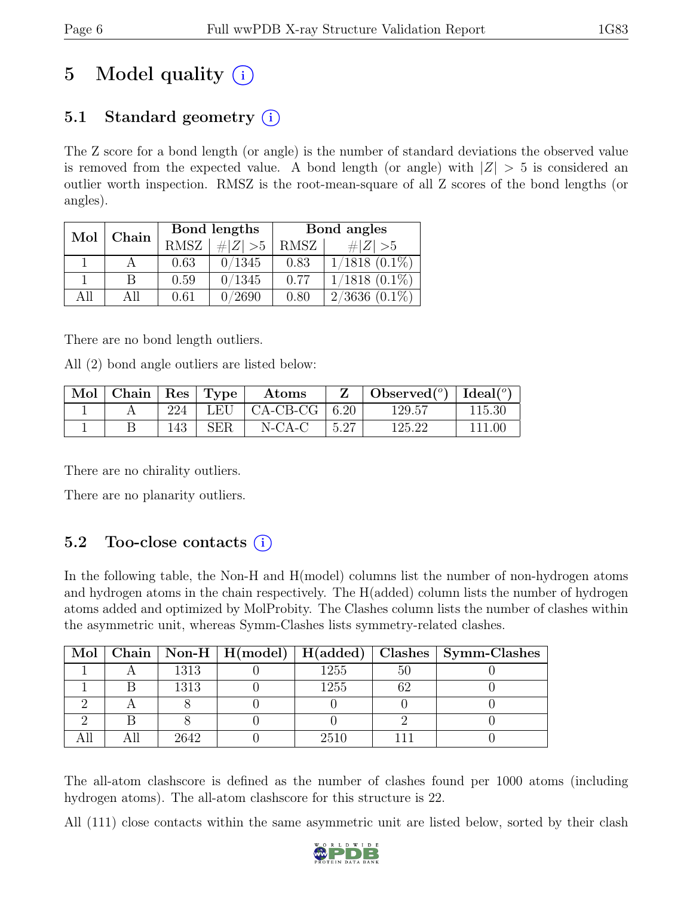# 5 Model quality  $(i)$

### 5.1 Standard geometry  $(i)$

The Z score for a bond length (or angle) is the number of standard deviations the observed value is removed from the expected value. A bond length (or angle) with  $|Z| > 5$  is considered an outlier worth inspection. RMSZ is the root-mean-square of all Z scores of the bond lengths (or angles).

| Mol  | Chain |      | Bond lengths | Bond angles |                                |  |
|------|-------|------|--------------|-------------|--------------------------------|--|
|      |       | RMSZ | $\# Z  > 5$  | RMSZ        | # $ Z  > 5$                    |  |
|      |       | 0.63 | 0/1345       | 0.83        | $1/1818(0.1\%)$                |  |
|      | B     | 0.59 | 0/1345       | 0.77        | $1/1818$ $(0.1\%)$             |  |
| A 11 | All   | 0.61 | 0/2690       | 0.80        | $2/3636 \; (\overline{0.1\%})$ |  |

There are no bond length outliers.

All (2) bond angle outliers are listed below:

| Mol | $\vert$ Chain   Res   Type $\vert$ |     |             | Atoms      |      | $\text{Observed}({}^o)$ | $\Box$ Ideal( $^o$ ) |
|-----|------------------------------------|-----|-------------|------------|------|-------------------------|----------------------|
|     |                                    | 224 | LEU         | $CA-CB-CG$ | 6.20 | 129.57                  | 115.30               |
|     |                                    | 143 | ${\rm SER}$ | $N$ -CA-C  | 5.27 | 125.22                  | 111.00               |

There are no chirality outliers.

There are no planarity outliers.

### 5.2 Too-close contacts  $(i)$

In the following table, the Non-H and H(model) columns list the number of non-hydrogen atoms and hydrogen atoms in the chain respectively. The H(added) column lists the number of hydrogen atoms added and optimized by MolProbity. The Clashes column lists the number of clashes within the asymmetric unit, whereas Symm-Clashes lists symmetry-related clashes.

|  |      |      |    | Mol   Chain   Non-H   H(model)   H(added)   Clashes   Symm-Clashes |
|--|------|------|----|--------------------------------------------------------------------|
|  | 1313 | 1255 | 50 |                                                                    |
|  | 1313 | 1255 |    |                                                                    |
|  |      |      |    |                                                                    |
|  |      |      |    |                                                                    |
|  | 2642 | 2510 |    |                                                                    |

The all-atom clashscore is defined as the number of clashes found per 1000 atoms (including hydrogen atoms). The all-atom clashscore for this structure is 22.

All (111) close contacts within the same asymmetric unit are listed below, sorted by their clash

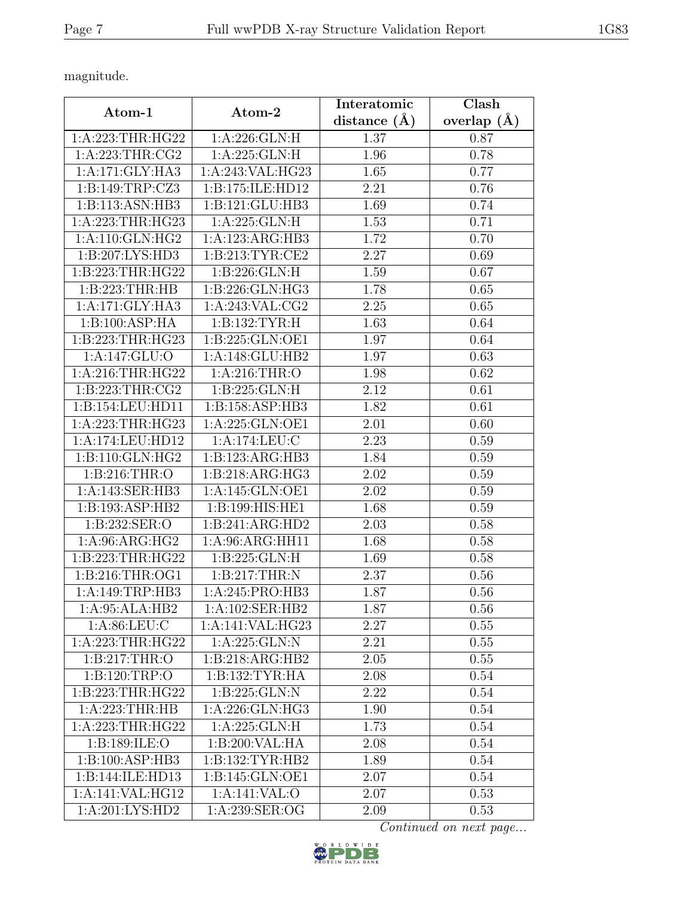magnitude.

| Atom-1              | Atom-2                               | Interatomic      | Clash           |
|---------------------|--------------------------------------|------------------|-----------------|
|                     |                                      | distance $(\AA)$ | overlap $(\AA)$ |
| 1:A:223:THR:HG22    | 1: A:226: GLN: H                     | 1.37             | 0.87            |
| 1: A:223:THR:CG2    | 1:A:225:GLN:H                        | 1.96             | 0.78            |
| 1:A:171:GLY:HA3     | $1:A:243:\overline{\text{VAL}:HG23}$ | 1.65             | 0.77            |
| 1:B:149:TRP:CZ3     | 1:B:175:ILE:HD12                     | 2.21             | 0.76            |
| 1:B:113:ASN:HB3     | 1:B:121:GLU:HB3                      | 1.69             | 0.74            |
| 1:A:223:THR:HG23    | 1:A:225:GLN:H                        | 1.53             | 0.71            |
| 1:A:110:GLN:HG2     | 1:A:123:ARG:HB3                      | 1.72             | 0.70            |
| 1:B:207:LYS:HD3     | 1: B: 213: TYR: CE2                  | 2.27             | 0.69            |
| 1:B:223:THR:HG22    | 1:B:226:GLN:H                        | 1.59             | 0.67            |
| 1:B:223:THR:HB      | 1:B:226:GLN:HG3                      | 1.78             | 0.65            |
| 1:A:171:GLY:HA3     | 1:A:243:VAL:CG2                      | 2.25             | 0.65            |
| 1:B:100:ASP:HA      | 1:B:132:TYR:H                        | 1.63             | 0.64            |
| 1:B:223:THR:HG23    | 1:B:225:GLN:OE1                      | 1.97             | 0.64            |
| 1:A:147:GLU:O       | 1:A:148:GLU:HB2                      | 1.97             | 0.63            |
| 1: A:216:THR:HG22   | 1: A:216:THR:O                       | 1.98             | 0.62            |
| 1: B: 223: THR: CG2 | 1:B:225:GLN:H                        | 2.12             | 0.61            |
| 1:B:154:LEU:HD11    | 1:B:158:ASP:HB3                      | 1.82             | 0.61            |
| 1:A:223:THR:HG23    | 1:A:225:GLN:OE1                      | 2.01             | 0.60            |
| 1:A:174:LEU:HD12    | 1:A:174:LEU:C                        | 2.23             | 0.59            |
| 1:B:110:GLN:HG2     | 1:B:123:ARG:HB3                      | 1.84             | 0.59            |
| 1: B:216:THR:O      | 1: B:218: ARG: HG3                   | 2.02             | 0.59            |
| 1:A:143:SER:HB3     | 1:A:145:GLN:OE1                      | 2.02             | 0.59            |
| 1:B:193:ASP:HB2     | 1:B:199:HIS:HE1                      | 1.68             | 0.59            |
| 1:B:232:SER:O       | 1:B:241:ARG:HD2                      | 2.03             | 0.58            |
| 1:A:96:ARG:HG2      | 1:A:96:ARG:HH11                      | 1.68             | 0.58            |
| 1:B:223:THR:HG22    | 1:B:225:GLN:H                        | 1.69             | 0.58            |
| 1:B:216:THR:OG1     | 1:B:217:THR:N                        | 2.37             | 0.56            |
| 1:A:149:TRP:HB3     | 1:A:245:PRO:HB3                      | 1.87             | 0.56            |
| 1:A:95:ALA:HB2      | 1:A:102:SER:HB2                      | 1.87             | 0.56            |
| 1: A:86: LEU: C     | 1:A:141:VAL:HG23                     | 2.27             | 0.55            |
| 1:A:223:THR:HG22    | 1:A:225:GLN:N                        | 2.21             | 0.55            |
| 1: B:217:THR:O      | 1:B:218:ARG:HB2                      | 2.05             | 0.55            |
| 1:B:120:TRP:O       | 1:B:132:TYR:HA                       | 2.08             | 0.54            |
| 1:B:223:THR:HG22    | 1: B: 225: GLN:N                     | 2.22             | 0.54            |
| 1:A:223:THR:HB      | 1:A:226:GLN:HG3                      | 1.90             | 0.54            |
| 1:A:223:THR:HG22    | 1:A:225:GLN:H                        | 1.73             | 0.54            |
| 1:B:189:ILE:O       | 1:B:200:VAL:HA                       | 2.08             | 0.54            |
| 1:B:100:ASP:HB3     | 1: B: 132: TYR: HB2                  | 1.89             | 0.54            |
| 1:B:144:ILE:HD13    | 1:B:145:GLN:OE1                      | 2.07             | 0.54            |
| 1:A:141:VAL:HG12    | 1:A:141:VAL:O                        | 2.07             | 0.53            |
| 1:A:201:LYS:HD2     | 1:A:239:SER:OG                       | 2.09             | 0.53            |

Continued on next page...

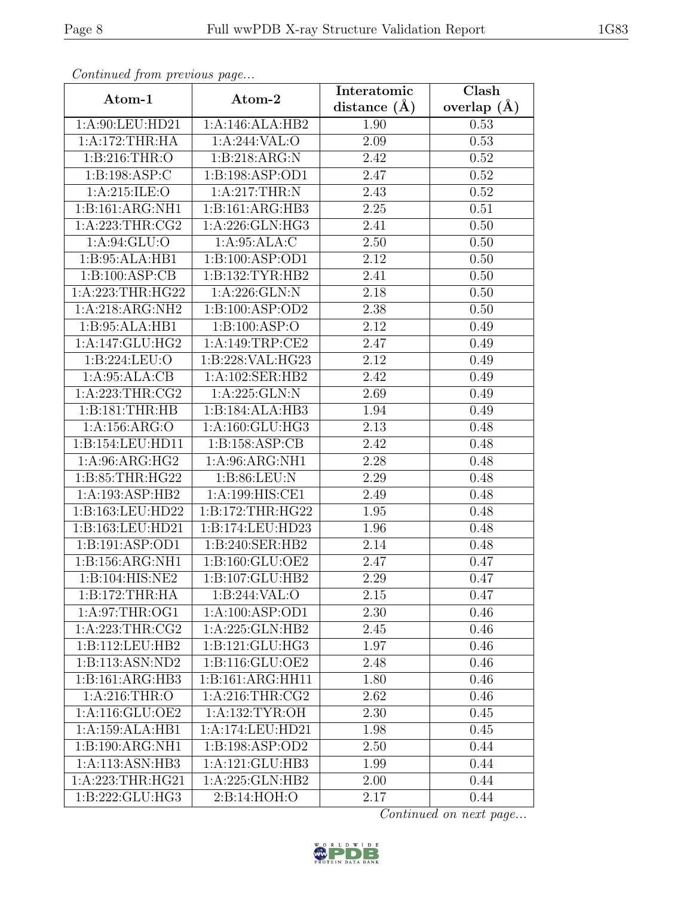| Continuea from previous page<br>Clash<br>Interatomic |                                     |                   |                 |  |  |
|------------------------------------------------------|-------------------------------------|-------------------|-----------------|--|--|
| Atom-1                                               | Atom-2                              | distance $(A)$    | overlap $(\AA)$ |  |  |
| 1:A:90:LEU:HD21                                      | 1:A:146:ALA:HB2                     | 1.90              | 0.53            |  |  |
| 1:A:172:THR:HA                                       | 1:A:244:VAL:O                       | 2.09              | 0.53            |  |  |
| 1: B:216:THR:O                                       | 1:B:218:ARG:N                       | 2.42              | 0.52            |  |  |
| 1:B:198:ASP:C                                        | 1:B:198:ASP:OD1                     | 2.47              | 0.52            |  |  |
| 1: A:215: ILE: O                                     | 1:A:217:THR:N                       | 2.43              | $0.52\,$        |  |  |
| 1:B:161:ARG:NH1                                      | 1:B:161:ARG:HB3                     | 2.25              | 0.51            |  |  |
| 1: A:223:THR:CG2                                     | 1:A:226:GLN:HG3                     | 2.41              | 0.50            |  |  |
| 1: A:94: GLU:O                                       | 1:A:95:ALA:C                        | 2.50              | 0.50            |  |  |
| 1:B:95:ALA:HB1                                       | 1:B:100:ASP:OD1                     | 2.12              | 0.50            |  |  |
| 1:B:100:ASP:CB                                       | 1:B:132:TYR:HB2                     | 2.41              | 0.50            |  |  |
| 1:A:223:THR:HG22                                     | 1:A:226:GLN:N                       | 2.18              | 0.50            |  |  |
| 1:A:218:ARG:NH2                                      | 1:B:100:ASP:OD2                     | 2.38              | 0.50            |  |  |
| 1:B:95:ALA:HB1                                       | 1:B:100:ASP:O                       | 2.12              | 0.49            |  |  |
| 1:A:147:GLU:HG2                                      | 1:A:149:TRP:CE2                     | 2.47              | 0.49            |  |  |
| 1:B:224:LEU:O                                        | 1:B:228:VAL:HG23                    | 2.12              | 0.49            |  |  |
| 1:A:95:ALA:CB                                        | 1:A:102:SER:HB2                     | 2.42              | 0.49            |  |  |
| 1:A:223:THR:CG2                                      | 1:A:225:GLN:N                       | 2.69              | 0.49            |  |  |
| 1:B:181:THR:HB                                       | 1:B:184:ALA:HB3                     | 1.94              | 0.49            |  |  |
| 1:A:156:ARG:O                                        | 1:A:160:GLU:HG3                     | $\overline{2.13}$ | 0.48            |  |  |
| 1:B:154:LEU:HD11                                     | 1: B: 158: ASP: CB                  | 2.42              | 0.48            |  |  |
| 1: A:96: ARG: HG2                                    | 1:A:96:ARG:NH1                      | 2.28              | 0.48            |  |  |
| 1:B:85:THR:HG22                                      | 1:B:86:LEU:N                        | 2.29              | 0.48            |  |  |
| 1:A:193:ASP:HB2                                      | $1:A:199:\overline{\text{HIS:CE1}}$ | 2.49              | 0.48            |  |  |
| 1:B:163:LEU:HD22                                     | 1:B:172:THR:HG22                    | 1.95              | 0.48            |  |  |
| 1:B:163:LEU:HD21                                     | 1:B:174:LEU:HD23                    | 1.96              | 0.48            |  |  |
| 1:B:191:ASP:OD1                                      | 1:B:240:SER:HB2                     | 2.14              | 0.48            |  |  |
| 1:B:156:ARG:NH1                                      | 1:B:160:GLU:OE2                     | 2.47              | 0.47            |  |  |
| 1:B:104:HIS:NE2                                      | 1:B:107:GLU:HB2                     | 2.29              | 0.47            |  |  |
| 1:B:172:THR:HA                                       | 1:B:244:VAL:O                       | 2.15              | 0.47            |  |  |
| 1: A:97:THR:OG1                                      | 1:A:100:ASP:OD1                     | 2.30              | 0.46            |  |  |
| 1:A:223:THR:CG2                                      | 1:A:225:GLN:HB2                     | 2.45              | 0.46            |  |  |
| 1:B:112:LEU:HB2                                      | 1:B:121:GLU:HG3                     | 1.97              | 0.46            |  |  |
| 1:B:113:ASN:ND2                                      | 1:B:116:GLU:OE2                     | 2.48              | 0.46            |  |  |
| 1:B:161:ARG:HB3                                      | 1:B:161:ARG:HH11                    | 1.80              | 0.46            |  |  |
| 1: A:216:THR:O                                       | $1:$ A:216:THR:CG2                  | 2.62              | 0.46            |  |  |
| 1:A:116:GLU:OE2                                      | 1: A: 132: TYR: OH                  | 2.30              | 0.45            |  |  |
| 1:A:159:ALA:HB1                                      | 1:A:174:LEU:HD21                    | 1.98              | 0.45            |  |  |
| 1:B:190:ARG:NH1                                      | 1:B:198:ASP:OD2                     | 2.50              | 0.44            |  |  |
| 1:A:113:ASN:HB3                                      | 1:A:121:GLU:HB3                     | 1.99              | 0.44            |  |  |
| 1:A:223:THR:HG21                                     | 1:A:225:GLN:HB2                     | 2.00              | 0.44            |  |  |
| 1:B:222:GLU:HG3                                      | 2:B:14:HOH:O                        | 2.17              | 0.44            |  |  |

Continued from previous page.

Continued on next page...

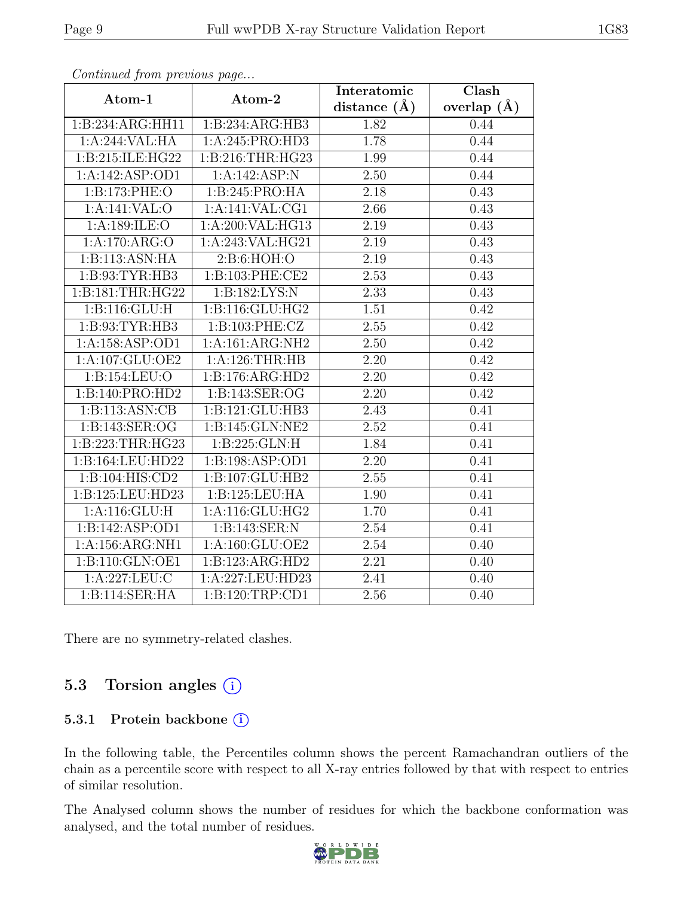| sonwhowed from providuo page |                              | Interatomic       | $\overline{\text{Clash}}$ |  |
|------------------------------|------------------------------|-------------------|---------------------------|--|
| Atom-1                       | Atom-2                       | distance $(A)$    | overlap $(\AA)$           |  |
| 1:B:234:ARG:HH11             | 1:B:234:ARG:HB3              | 1.82              | 0.44                      |  |
| 1:A:244:VAL:HA               | 1:A:245:PRO:HD3              | 1.78              | 0.44                      |  |
| 1:B:215:ILE:HG22             | 1:B:216:THR:HG23             | 1.99              | 0.44                      |  |
| 1:A:142:ASP:OD1              | 1:A:142:ASP:N                | 2.50              | 0.44                      |  |
| 1:B:173:PHE:O                | 1:B:245:PRO:HA               | 2.18              | 0.43                      |  |
| 1:A:141:VAL:O                | 1:A:141:VAL:CG1              | 2.66              | 0.43                      |  |
| 1:A:189:ILE:O                | 1:A:200:VAL:HG13             | $\overline{2}.19$ | 0.43                      |  |
| 1:A:170:ARG:O                | 1:A:243:VAL:HG21             | 2.19              | 0.43                      |  |
| $1:B:113:AS\overline{N:HA}$  | 2:B:6:HOH:O                  | $\overline{2.19}$ | 0.43                      |  |
| 1:B:93:TYR:HB3               | 1:B:103:PHE:CE2              | 2.53              | 0.43                      |  |
| 1:B:181:THR:HG22             | 1:B:182:LYS:N                | 2.33              | 0.43                      |  |
| 1: B: 116: GLU: H            | 1:B:116:GLU:HG2              | 1.51              | 0.42                      |  |
| 1:B:93:TYR:HB3               | 1:B:103:PHE:CZ               | 2.55              | 0.42                      |  |
| 1: A: 158: ASP: OD1          | 1:A:161:ARG:NH2              | 2.50              | $\overline{0.42}$         |  |
| 1:A:107:GLU:OE2              | 1:A:126:THR:HB               | 2.20              | 0.42                      |  |
| 1:B:154:LEU:O                | 1:B:176:ARG:HD2              | 2.20              | 0.42                      |  |
| 1:B:140:PRO:HD2              | 1:B:143:SER:OG               | 2.20              | 0.42                      |  |
| 1:B:113:ASN:CB               | $1:B:121:GLU:H\overline{B3}$ | 2.43              | 0.41                      |  |
| 1:B:143:SER:OG               | 1:B:145:GLN:NE2              | 2.52              | 0.41                      |  |
| 1:B:223:THR:HG23             | 1:B:225:GLN:H                | $\overline{1.84}$ | 0.41                      |  |
| 1:B:164:LEU:HD22             | 1:B:198:ASP:OD1              | 2.20              | 0.41                      |  |
| 1:B:104:HIS:CD2              | 1:B:107:GLU:HB2              | 2.55              | 0.41                      |  |
| 1:B:125:LEU:HD23             | 1:B:125:LEU:HA               | 1.90              | 0.41                      |  |
| 1: A:116: GLU: H             | 1: A:116: GLU: HG2           | 1.70              | 0.41                      |  |
| 1:B:142:ASP:OD1              | 1:B:143:SER:N                | 2.54              | 0.41                      |  |
| $1:A:156:ARG:\overline{NH1}$ | 1:A:160:GLU:OE2              | 2.54              | 0.40                      |  |
| 1:B:110:GLN:OE1              | 1:B:123:ARG:HD2              | 2.21              | 0.40                      |  |
| $1:$ A:227:LEU:C             | 1:A:227:LEU:HD23             | 2.41              | 0.40                      |  |
| 1:B:114:SER:HA               | 1:B:120:TRP:CD1              | 2.56              | 0.40                      |  |

Continued from previous page...

There are no symmetry-related clashes.

### 5.3 Torsion angles (i)

#### 5.3.1 Protein backbone (i)

In the following table, the Percentiles column shows the percent Ramachandran outliers of the chain as a percentile score with respect to all X-ray entries followed by that with respect to entries of similar resolution.

The Analysed column shows the number of residues for which the backbone conformation was analysed, and the total number of residues.

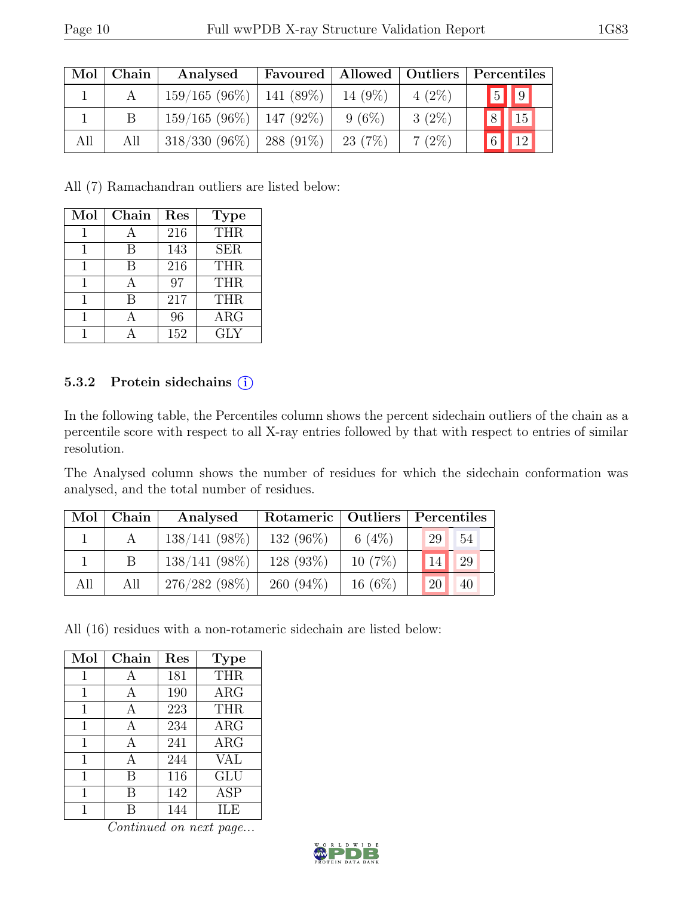| Mol | Chain | Analysed                      |             |            |          | Favoured   Allowed   Outliers   Percentiles |
|-----|-------|-------------------------------|-------------|------------|----------|---------------------------------------------|
|     |       | $159/165 (96\%)$   141 (89\%) |             | 14 $(9\%)$ | $4(2\%)$ | $\boxed{5}$ $\boxed{9}$                     |
|     | B     | $159/165(96\%)$               | $147(92\%)$ | $9(6\%)$   | $3(2\%)$ | 15<br> 8                                    |
| All | All   | $318/330(96\%)$               | $288(91\%)$ | 23(7%)     | $7(2\%)$ | $\boxed{12}$<br>$6\vert$                    |

All (7) Ramachandran outliers are listed below:

| Mol | Chain | Res | <b>Type</b> |
|-----|-------|-----|-------------|
| 1   |       | 216 | <b>THR</b>  |
|     | В     | 143 | <b>SER</b>  |
| 1   | В     | 216 | <b>THR</b>  |
|     |       | 97  | <b>THR</b>  |
|     | В     | 217 | <b>THR</b>  |
|     |       | 96  | $\rm{ARG}$  |
|     |       | 152 | GLY         |

#### 5.3.2 Protein sidechains (i)

In the following table, the Percentiles column shows the percent sidechain outliers of the chain as a percentile score with respect to all X-ray entries followed by that with respect to entries of similar resolution.

The Analysed column shows the number of residues for which the sidechain conformation was analysed, and the total number of residues.

|     | Mol   Chain | Analysed        |             |           | Rotameric   Outliers   Percentiles |
|-----|-------------|-----------------|-------------|-----------|------------------------------------|
|     |             | $138/141(98\%)$ | 132 (96%)   | 6 $(4\%)$ | 54<br>29                           |
|     |             | $138/141(98\%)$ | 128(93%)    | 10(7%)    | 29<br>14                           |
| All | All         | $276/282(98\%)$ | $260(94\%)$ | $16(6\%)$ | 20<br>40                           |

All (16) residues with a non-rotameric sidechain are listed below:

| Mol | Chain | Res | <b>Type</b> |
|-----|-------|-----|-------------|
| 1   |       | 181 | <b>THR</b>  |
| 1   | А     | 190 | ARG         |
| 1   | A     | 223 | <b>THR</b>  |
| 1   | А     | 234 | $\rm{ARG}$  |
| 1   | А     | 241 | $\rm{ARG}$  |
| 1   | A     | 244 | <b>VAL</b>  |
| 1   | В     | 116 | GLU         |
| 1   | В     | 142 | ASP         |
|     |       | 144 | НÆ          |

Continued on next page...

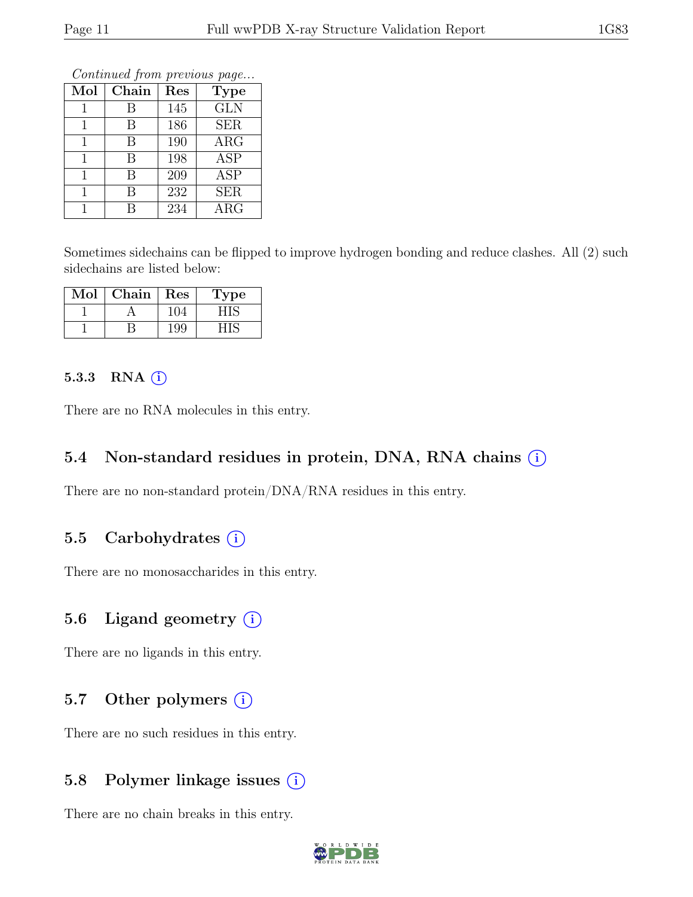Continued from previous page...

| Mol | Chain | Res | <b>Type</b> |
|-----|-------|-----|-------------|
|     | В     | 145 | <b>GLN</b>  |
|     | В     | 186 | <b>SER</b>  |
|     | В     | 190 | $\rm{ARG}$  |
|     | В     | 198 | <b>ASP</b>  |
|     | В     | 209 | <b>ASP</b>  |
|     | R     | 232 | <b>SER</b>  |
|     |       | 234 | $\rm{ARG}$  |

Sometimes sidechains can be flipped to improve hydrogen bonding and reduce clashes. All (2) such sidechains are listed below:

| Mol | ${\rm Chain}$ | Res | Type |
|-----|---------------|-----|------|
|     |               | 104 |      |
|     |               | 199 |      |

#### 5.3.3 RNA  $(i)$

There are no RNA molecules in this entry.

#### 5.4 Non-standard residues in protein, DNA, RNA chains  $(i)$

There are no non-standard protein/DNA/RNA residues in this entry.

### 5.5 Carbohydrates  $(i)$

There are no monosaccharides in this entry.

### 5.6 Ligand geometry  $(i)$

There are no ligands in this entry.

### 5.7 Other polymers  $(i)$

There are no such residues in this entry.

### 5.8 Polymer linkage issues  $(i)$

There are no chain breaks in this entry.

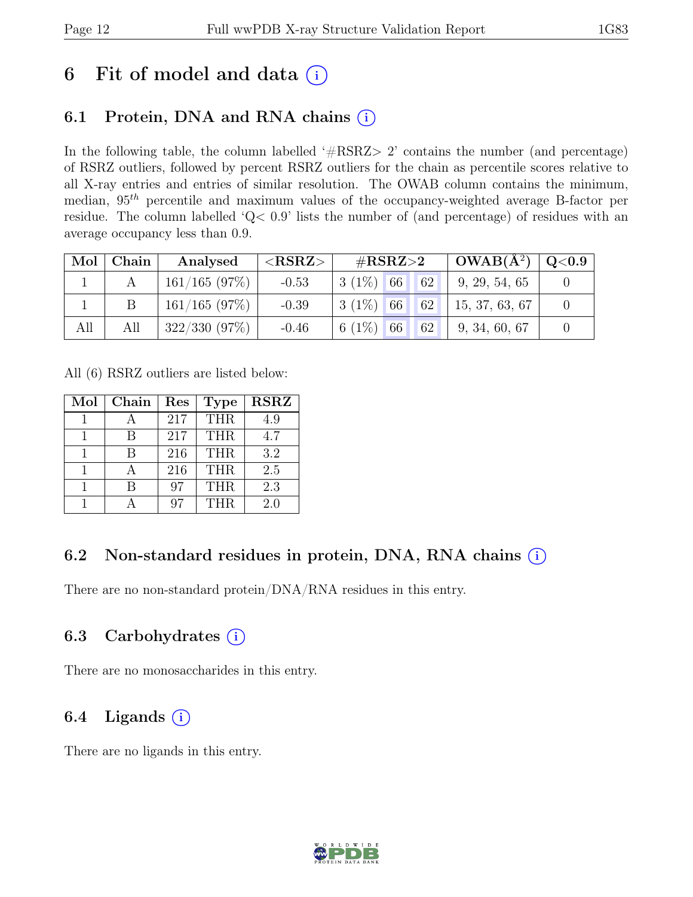## 6 Fit of model and data  $(i)$

### 6.1 Protein, DNA and RNA chains  $(i)$

In the following table, the column labelled '#RSRZ> 2' contains the number (and percentage) of RSRZ outliers, followed by percent RSRZ outliers for the chain as percentile scores relative to all X-ray entries and entries of similar resolution. The OWAB column contains the minimum, median,  $95<sup>th</sup>$  percentile and maximum values of the occupancy-weighted average B-factor per residue. The column labelled 'Q< 0.9' lists the number of (and percentage) of residues with an average occupancy less than 0.9.

|     | Mol   Chain | Analysed         | ${ <\hspace{-1.5pt}{\mathrm{RSRZ}} \hspace{-1.5pt}>}$ | $\#\text{RSRZ}\!\!>\!\!2$      | $OWAB(A^2)$   | Q <sub>0.9</sub> |
|-----|-------------|------------------|-------------------------------------------------------|--------------------------------|---------------|------------------|
|     |             | $161/165$ (97\%) | $-0.53$                                               | $3(1\%)$ 66 62                 | 9, 29, 54, 65 |                  |
|     | B           | 161/165(97%)     | $-0.39$                                               | $3(1\%)$ 66 62 15, 37, 63, 67  |               |                  |
| All | All         | 322/330(97%)     | $-0.46$                                               | $6(1\%)$ 66<br>62 <sup>°</sup> | 9, 34, 60, 67 |                  |

All (6) RSRZ outliers are listed below:

| Mol | Chain | Res | <b>Type</b> | <b>RSRZ</b> |
|-----|-------|-----|-------------|-------------|
|     |       | 217 | <b>THR</b>  | 4.9         |
|     |       | 217 | <b>THR</b>  | 4.7         |
|     | R     | 216 | <b>THR</b>  | 3.2         |
|     |       | 216 | <b>THR</b>  | 2.5         |
|     |       | 97  | <b>THR</b>  | 2.3         |
|     |       |     | <b>THR</b>  | 2.0         |

### 6.2 Non-standard residues in protein, DNA, RNA chains  $(i)$

There are no non-standard protein/DNA/RNA residues in this entry.

### 6.3 Carbohydrates  $(i)$

There are no monosaccharides in this entry.

### 6.4 Ligands  $(i)$

There are no ligands in this entry.